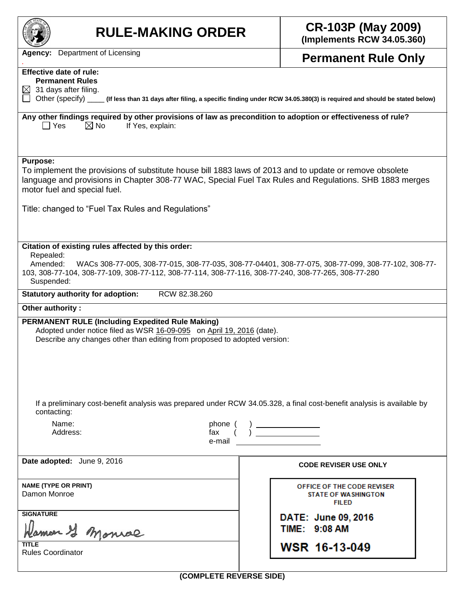| <b>RULE-MAKING ORDER</b>                                                                                                                                                                                                                                                                                                   | <b>CR-103P (May 2009)</b><br>(Implements RCW 34.05.360)                                            |  |  |  |  |  |  |
|----------------------------------------------------------------------------------------------------------------------------------------------------------------------------------------------------------------------------------------------------------------------------------------------------------------------------|----------------------------------------------------------------------------------------------------|--|--|--|--|--|--|
| <b>Agency:</b> Department of Licensing                                                                                                                                                                                                                                                                                     | <b>Permanent Rule Only</b>                                                                         |  |  |  |  |  |  |
| <b>Effective date of rule:</b>                                                                                                                                                                                                                                                                                             |                                                                                                    |  |  |  |  |  |  |
| <b>Permanent Rules</b><br>$\boxtimes$ 31 days after filing.                                                                                                                                                                                                                                                                |                                                                                                    |  |  |  |  |  |  |
| Other (specify) _____ (If less than 31 days after filing, a specific finding under RCW 34.05.380(3) is required and should be stated below)                                                                                                                                                                                |                                                                                                    |  |  |  |  |  |  |
| Any other findings required by other provisions of law as precondition to adoption or effectiveness of rule?<br>$\boxtimes$ No<br>    Yes<br>If Yes, explain:                                                                                                                                                              |                                                                                                    |  |  |  |  |  |  |
| <b>Purpose:</b><br>To implement the provisions of substitute house bill 1883 laws of 2013 and to update or remove obsolete<br>language and provisions in Chapter 308-77 WAC, Special Fuel Tax Rules and Regulations. SHB 1883 merges<br>motor fuel and special fuel.<br>Title: changed to "Fuel Tax Rules and Regulations" |                                                                                                    |  |  |  |  |  |  |
| Citation of existing rules affected by this order:<br>Repealed:                                                                                                                                                                                                                                                            |                                                                                                    |  |  |  |  |  |  |
| Amended:<br>103, 308-77-104, 308-77-109, 308-77-112, 308-77-114, 308-77-116, 308-77-240, 308-77-265, 308-77-280<br>Suspended:                                                                                                                                                                                              | WACs 308-77-005, 308-77-015, 308-77-035, 308-77-04401, 308-77-075, 308-77-099, 308-77-102, 308-77- |  |  |  |  |  |  |
| RCW 82.38.260<br><b>Statutory authority for adoption:</b>                                                                                                                                                                                                                                                                  |                                                                                                    |  |  |  |  |  |  |
| Other authority:                                                                                                                                                                                                                                                                                                           |                                                                                                    |  |  |  |  |  |  |
| <b>PERMANENT RULE (Including Expedited Rule Making)</b><br>Adopted under notice filed as WSR 16-09-095 on April 19, 2016 (date).<br>Describe any changes other than editing from proposed to adopted version:                                                                                                              |                                                                                                    |  |  |  |  |  |  |
| If a preliminary cost-benefit analysis was prepared under RCW 34.05.328, a final cost-benefit analysis is available by<br>contacting:                                                                                                                                                                                      |                                                                                                    |  |  |  |  |  |  |
| Name:<br>phone (<br>Address:<br>e-mail                                                                                                                                                                                                                                                                                     | phone $\begin{pmatrix} 0 & 1 \\ 0 & 1 \end{pmatrix}$                                               |  |  |  |  |  |  |
| Date adopted: June 9, 2016                                                                                                                                                                                                                                                                                                 | <b>CODE REVISER USE ONLY</b>                                                                       |  |  |  |  |  |  |
| <b>NAME (TYPE OR PRINT)</b><br>Damon Monroe                                                                                                                                                                                                                                                                                | OFFICE OF THE CODE REVISER<br><b>STATE OF WASHINGTON</b><br><b>FILED</b>                           |  |  |  |  |  |  |
| <b>SIGNATURE</b><br>amon I monroe                                                                                                                                                                                                                                                                                          | DATE: June 09, 2016<br>TIME: 9:08 AM                                                               |  |  |  |  |  |  |
| <b>TITLE</b><br><b>Rules Coordinator</b>                                                                                                                                                                                                                                                                                   | WSR 16-13-049                                                                                      |  |  |  |  |  |  |

**(COMPLETE REVERSE SIDE)**